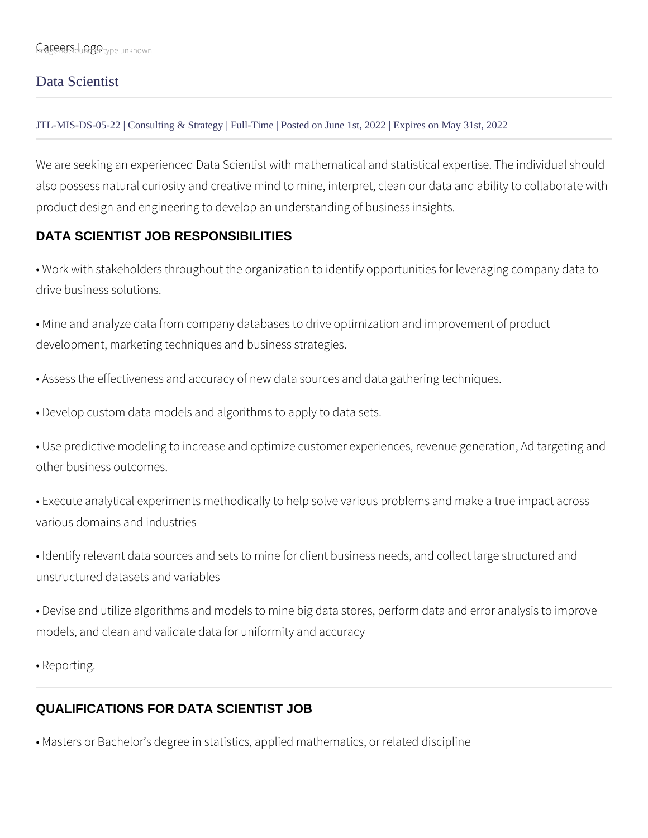## Data Scientist

JTL-MIS-DS-05-22 | Consulting & Strategy | Full-Time | Posted on June 1st, 2022 | Expires on May 31st, 2022

We are seeking an experienced Data Scientist with mathematical and statistical expertise. The individual should also possess natural curiosity and creative mind to mine, interpret, clean our data and ability to collaborate with product design and engineering to develop an understanding of business insights.

## **DATA SCIENTIST JOB RESPONSIBILITIES**

• Work with stakeholders throughout the organization to identify opportunities for leveraging company data to drive business solutions.

• Mine and analyze data from company databases to drive optimization and improvement of product development, marketing techniques and business strategies.

• Assess the effectiveness and accuracy of new data sources and data gathering techniques.

• Develop custom data models and algorithms to apply to data sets.

• Use predictive modeling to increase and optimize customer experiences, revenue generation, Ad targeting and other business outcomes.

• Execute analytical experiments methodically to help solve various problems and make a true impact across various domains and industries

• Identify relevant data sources and sets to mine for client business needs, and collect large structured and unstructured datasets and variables

• Devise and utilize algorithms and models to mine big data stores, perform data and error analysis to improve models, and clean and validate data for uniformity and accuracy

• Reporting.

## **QUALIFICATIONS FOR DATA SCIENTIST JOB**

• Masters or Bachelor's degree in statistics, applied mathematics, or related discipline